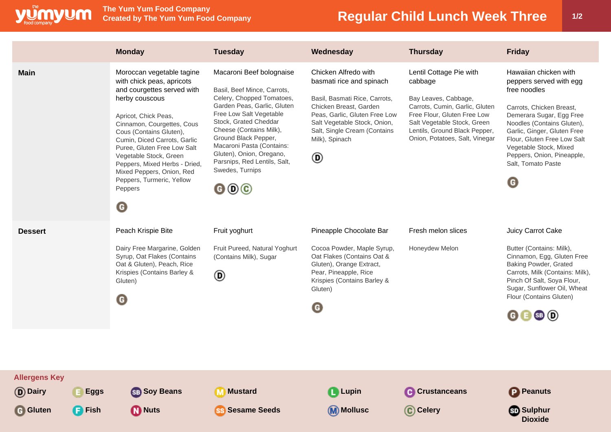

## **Regular Child Lunch Week Three 1/2**

|                                                      |                              | <b>Monday</b>                                                                                                                                                                                                                                                                                                                                                                                                   | <b>Tuesday</b>                                                                                                                                                                                                                                                                                                                                                                              | Wednesday                                                                                                                                                                                                                           | <b>Thursday</b>                                                                                                                                                                                                               | <b>Friday</b>                                                                                                                                                                                                                                                                                                     |
|------------------------------------------------------|------------------------------|-----------------------------------------------------------------------------------------------------------------------------------------------------------------------------------------------------------------------------------------------------------------------------------------------------------------------------------------------------------------------------------------------------------------|---------------------------------------------------------------------------------------------------------------------------------------------------------------------------------------------------------------------------------------------------------------------------------------------------------------------------------------------------------------------------------------------|-------------------------------------------------------------------------------------------------------------------------------------------------------------------------------------------------------------------------------------|-------------------------------------------------------------------------------------------------------------------------------------------------------------------------------------------------------------------------------|-------------------------------------------------------------------------------------------------------------------------------------------------------------------------------------------------------------------------------------------------------------------------------------------------------------------|
| <b>Main</b>                                          |                              | Moroccan vegetable tagine<br>with chick peas, apricots<br>and courgettes served with<br>herby couscous<br>Apricot, Chick Peas,<br>Cinnamon, Courgettes, Cous<br>Cous (Contains Gluten),<br>Cumin, Diced Carrots, Garlic<br>Puree, Gluten Free Low Salt<br>Vegetable Stock, Green<br>Peppers, Mixed Herbs - Dried,<br>Mixed Peppers, Onion, Red<br>Peppers, Turmeric, Yellow<br>Peppers<br>$\boldsymbol{\Theta}$ | Macaroni Beef bolognaise<br>Basil, Beef Mince, Carrots,<br>Celery, Chopped Tomatoes,<br>Garden Peas, Garlic, Gluten<br>Free Low Salt Vegetable<br>Stock, Grated Cheddar<br>Cheese (Contains Milk),<br>Ground Black Pepper,<br>Macaroni Pasta (Contains:<br>Gluten), Onion, Oregano,<br>Parsnips, Red Lentils, Salt,<br>Swedes, Turnips<br>$\mathbf{\Theta} \mathbf{\Theta} \mathbf{\Theta}$ | Chicken Alfredo with<br>basmati rice and spinach<br>Basil, Basmati Rice, Carrots,<br>Chicken Breast, Garden<br>Peas, Garlic, Gluten Free Low<br>Salt Vegetable Stock, Onion,<br>Salt, Single Cream (Contains<br>Milk), Spinach<br>◉ | Lentil Cottage Pie with<br>cabbage<br>Bay Leaves, Cabbage,<br>Carrots, Cumin, Garlic, Gluten<br>Free Flour, Gluten Free Low<br>Salt Vegetable Stock, Green<br>Lentils, Ground Black Pepper,<br>Onion, Potatoes, Salt, Vinegar | Hawaiian chicken with<br>peppers served with egg<br>free noodles<br>Carrots, Chicken Breast,<br>Demerara Sugar, Egg Free<br>Noodles (Contains Gluten),<br>Garlic, Ginger, Gluten Free<br>Flour, Gluten Free Low Salt<br>Vegetable Stock, Mixed<br>Peppers, Onion, Pineapple,<br>Salt, Tomato Paste<br>$\mathbf G$ |
| <b>Dessert</b>                                       |                              | Peach Krispie Bite<br>Dairy Free Margarine, Golden<br>Syrup, Oat Flakes (Contains<br>Oat & Gluten), Peach, Rice<br>Krispies (Contains Barley &<br>Gluten)<br>$\boldsymbol{\Theta}$                                                                                                                                                                                                                              | Fruit yoghurt<br>Fruit Pureed, Natural Yoghurt<br>(Contains Milk), Sugar<br>◉                                                                                                                                                                                                                                                                                                               | Pineapple Chocolate Bar<br>Cocoa Powder, Maple Syrup,<br>Oat Flakes (Contains Oat &<br>Gluten), Orange Extract,<br>Pear, Pineapple, Rice<br>Krispies (Contains Barley &<br>Gluten)<br>O                                             | Fresh melon slices<br>Honeydew Melon                                                                                                                                                                                          | Juicy Carrot Cake<br>Butter (Contains: Milk),<br>Cinnamon, Egg, Gluten Free<br>Baking Powder, Grated<br>Carrots, Milk (Contains: Milk),<br>Pinch Of Salt, Soya Flour,<br>Sugar, Sunflower Oil, Wheat<br>Flour (Contains Gluten)<br>$\mathbf{G} \mathbf{B}$ SB $\mathbf{D}$                                        |
| <b>Allergens Key</b><br>(D) Dairy<br><b>G</b> Gluten | <b>Eggs</b><br><b>B</b> Fish | <b>SB</b> Soy Beans<br><b>D</b> Nuts                                                                                                                                                                                                                                                                                                                                                                            | <b>M</b> Mustard<br><b>SS Sesame Seeds</b>                                                                                                                                                                                                                                                                                                                                                  | <b>Q</b> Lupin<br>(M) Mollusc                                                                                                                                                                                                       | Crustanceans<br>C Celery                                                                                                                                                                                                      | <b>P</b> Peanuts<br><b>Sulphur</b><br><b>Dioxide</b>                                                                                                                                                                                                                                                              |